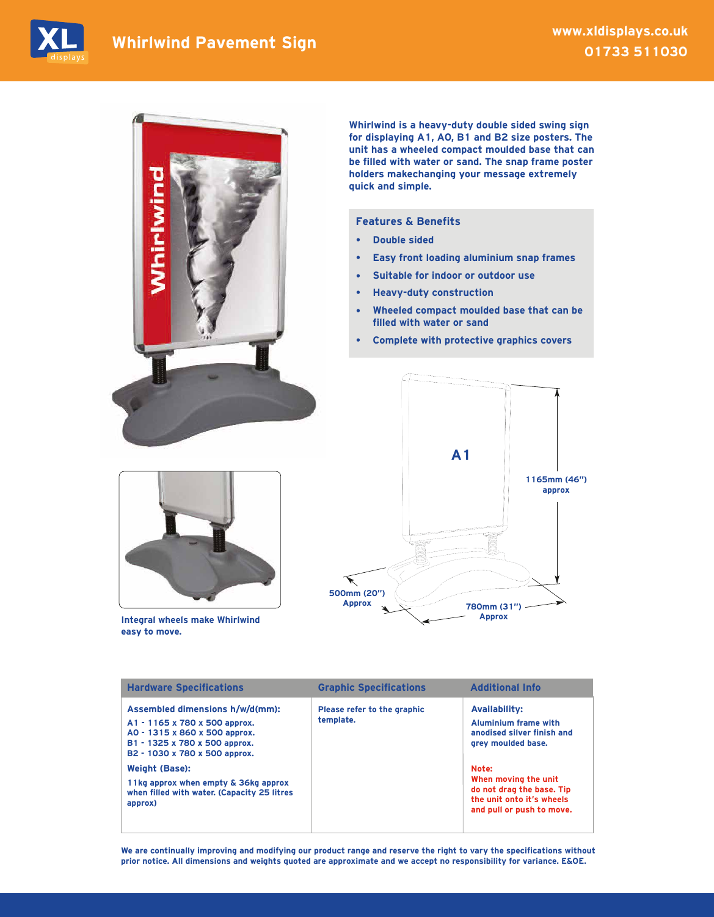



Whirlwind is a heavy-duty double sided swing sign for displaying A1, A0, B1 and B2 size posters. The unit has a wheeled compact moulded base that can be filled with water or sand. The snap frame poster holders makechanging your message extremely quick and simple.

## Features & Benefits

- **•** Double sided
- **•** Easy front loading aluminium snap frames
- **•** Suitable for indoor or outdoor use
- **•** Heavy-duty construction
- **•** Wheeled compact moulded base that can be filled with water or sand
- **•** Complete with protective graphics covers



Integral wheels make Whirlwind easy to move.



| <b>Hardware Specifications</b>                                                                                                                                      | <b>Graphic Specifications</b>            | <b>Additional Info</b>                                                                                               |
|---------------------------------------------------------------------------------------------------------------------------------------------------------------------|------------------------------------------|----------------------------------------------------------------------------------------------------------------------|
| Assembled dimensions h/w/d(mm):<br>A1 - 1165 x 780 x 500 approx.<br>A0 - 1315 x 860 x 500 approx.<br>B1 - 1325 x 780 x 500 approx.<br>B2 - 1030 x 780 x 500 approx. | Please refer to the graphic<br>template. | <b>Availability:</b><br><b>Aluminium frame with</b><br>anodised silver finish and<br>grey moulded base.              |
| <b>Weight (Base):</b><br>11kg approx when empty & 36kg approx<br>when filled with water. (Capacity 25 litres<br>approx)                                             |                                          | Note:<br>When moving the unit<br>do not drag the base. Tip<br>the unit onto it's wheels<br>and pull or push to move. |

We are continually improving and modifying our product range and reserve the right to vary the specifications without prior notice. All dimensions and weights quoted are approximate and we accept no responsibility for variance. E&OE.